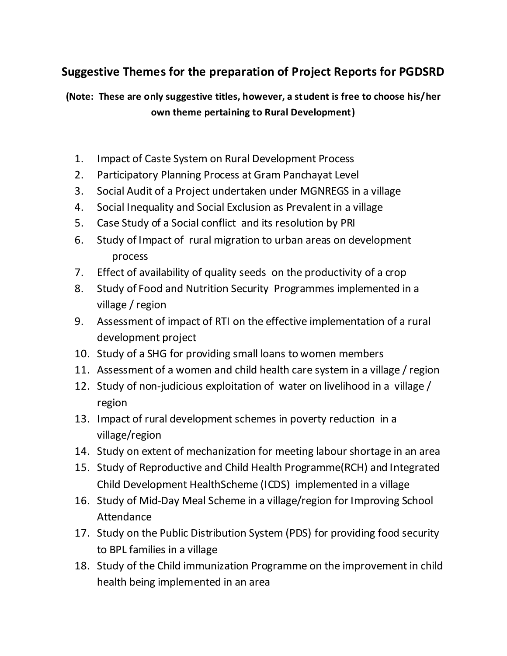## **Suggestive Themes for the preparation of Project Reports for PGDSRD**

**(Note: These are only suggestive titles, however, a student is free to choose his/her own theme pertaining to Rural Development)**

- 1. Impact of Caste System on Rural Development Process
- 2. Participatory Planning Process at Gram Panchayat Level
- 3. Social Audit of a Project undertaken under MGNREGS in a village
- 4. Social Inequality and Social Exclusion as Prevalent in a village
- 5. Case Study of a Social conflict and its resolution by PRI
- 6. Study of Impact of rural migration to urban areas on development process
- 7. Effect of availability of quality seeds on the productivity of a crop
- 8. Study of Food and Nutrition Security Programmes implemented in a village / region
- 9. Assessment of impact of RTI on the effective implementation of a rural development project
- 10. Study of a SHG for providing small loans to women members
- 11. Assessment of a women and child health care system in a village / region
- 12. Study of non-judicious exploitation of water on livelihood in a village / region
- 13. Impact of rural development schemes in poverty reduction in a village/region
- 14. Study on extent of mechanization for meeting labour shortage in an area
- 15. Study of Reproductive and Child Health Programme(RCH) and Integrated Child Development HealthScheme (ICDS) implemented in a village
- 16. Study of Mid-Day Meal Scheme in a village/region for Improving School Attendance
- 17. Study on the Public Distribution System (PDS) for providing food security to BPL families in a village
- 18. Study of the Child immunization Programme on the improvement in child health being implemented in an area